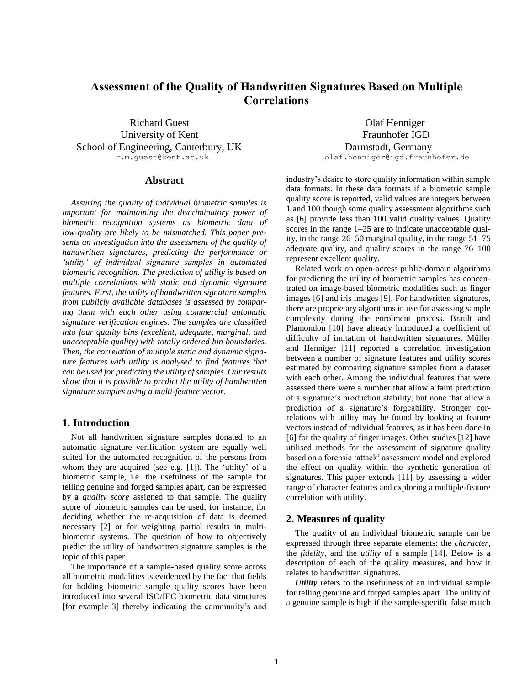# **Assessment of the Quality of Handwritten Signatures Based on Multiple Correlations**

Richard Guest **Olaf Henniger** Olaf Henniger *University of Kent* Fraunhofer IGD School of Engineering, Canterbury, UK Darmstadt, Germany

# **Abstract**

*Assuring the quality of individual biometric samples is important for maintaining the discriminatory power of biometric recognition systems as biometric data of low-quality are likely to be mismatched. This paper presents an investigation into the assessment of the quality of handwritten signatures, predicting the performance or 'utility' of individual signature samples in automated biometric recognition. The prediction of utility is based on multiple correlations with static and dynamic signature features. First, the utility of handwritten signature samples from publicly available databases is assessed by comparing them with each other using commercial automatic signature verification engines. The samples are classified into four quality bins (excellent, adequate, marginal, and unacceptable quality) with totally ordered bin boundaries. Then, the correlation of multiple static and dynamic signature features with utility is analysed to find features that can be used for predicting the utility of samples. Our results show that it is possible to predict the utility of handwritten signature samples using a multi-feature vector.*

# **1. Introduction**

Not all handwritten signature samples donated to an automatic signature verification system are equally well suited for the automated recognition of the persons from whom they are acquired (see e.g. [1]). The 'utility' of a biometric sample, i.e. the usefulness of the sample for telling genuine and forged samples apart, can be expressed by a *quality score* assigned to that sample. The quality score of biometric samples can be used, for instance, for deciding whether the re-acquisition of data is deemed necessary [2] or for weighting partial results in multibiometric systems. The question of how to objectively predict the utility of handwritten signature samples is the topic of this paper.

The importance of a sample-based quality score across all biometric modalities is evidenced by the fact that fields for holding biometric sample quality scores have been introduced into several ISO/IEC biometric data structures [for example 3] thereby indicating the community's and

r.m.guest@kent.ac.uk olaf.henniger@igd.fraunhofer.de

industry's desire to store quality information within sample data formats. In these data formats if a biometric sample quality score is reported, valid values are integers between 1 and 100 though some quality assessment algorithms such as [6] provide less than 100 valid quality values. Quality scores in the range 1–25 are to indicate unacceptable quality, in the range 26–50 marginal quality, in the range 51–75 adequate quality, and quality scores in the range 76–100 represent excellent quality.

Related work on open-access public-domain algorithms for predicting the utility of biometric samples has concentrated on image-based biometric modalities such as finger images [6] and iris images [9]. For handwritten signatures, there are proprietary algorithms in use for assessing sample complexity during the enrolment process. Brault and Plamondon [10] have already introduced a coefficient of difficulty of imitation of handwritten signatures. Müller and Henniger [11] reported a correlation investigation between a number of signature features and utility scores estimated by comparing signature samples from a dataset with each other. Among the individual features that were assessed there were a number that allow a faint prediction of a signature's production stability, but none that allow a prediction of a signature's forgeability. Stronger correlations with utility may be found by looking at feature vectors instead of individual features, as it has been done in [6] for the quality of finger images. Other studies [12] have utilised methods for the assessment of signature quality based on a forensic 'attack' assessment model and explored the effect on quality within the synthetic generation of signatures. This paper extends [11] by assessing a wider range of character features and exploring a multiple-feature correlation with utility.

# **2. Measures of quality**

The quality of an individual biometric sample can be expressed through three separate elements: the *character*, the *fidelity*, and the *utility* of a sample [14]. Below is a description of each of the quality measures, and how it relates to handwritten signatures.

*Utility* refers to the usefulness of an individual sample for telling genuine and forged samples apart. The utility of a genuine sample is high if the sample-specific false match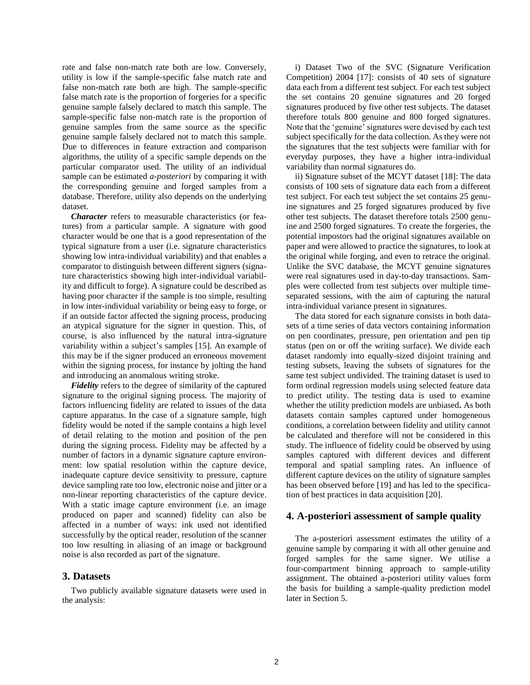rate and false non-match rate both are low. Conversely, utility is low if the sample-specific false match rate and false non-match rate both are high. The sample-specific false match rate is the proportion of forgeries for a specific genuine sample falsely declared to match this sample. The sample-specific false non-match rate is the proportion of genuine samples from the same source as the specific genuine sample falsely declared not to match this sample. Due to differences in feature extraction and comparison algorithms, the utility of a specific sample depends on the particular comparator used. The utility of an individual sample can be estimated *a-posteriori* by comparing it with the corresponding genuine and forged samples from a database. Therefore, utility also depends on the underlying dataset.

*Character* refers to measurable characteristics (or features) from a particular sample. A signature with good character would be one that is a good representation of the typical signature from a user (i.e. signature characteristics showing low intra-individual variability) and that enables a comparator to distinguish between different signers (signature characteristics showing high inter-individual variability and difficult to forge). A signature could be described as having poor character if the sample is too simple, resulting in low inter-individual variability or being easy to forge, or if an outside factor affected the signing process, producing an atypical signature for the signer in question. This, of course, is also influenced by the natural intra-signature variability within a subject's samples [15]. An example of this may be if the signer produced an erroneous movement within the signing process, for instance by jolting the hand and introducing an anomalous writing stroke.

*Fidelity* refers to the degree of similarity of the captured signature to the original signing process. The majority of factors influencing fidelity are related to issues of the data capture apparatus. In the case of a signature sample, high fidelity would be noted if the sample contains a high level of detail relating to the motion and position of the pen during the signing process. Fidelity may be affected by a number of factors in a dynamic signature capture environment: low spatial resolution within the capture device, inadequate capture device sensitivity to pressure, capture device sampling rate too low, electronic noise and jitter or a non-linear reporting characteristics of the capture device. With a static image capture environment (i.e. an image produced on paper and scanned) fidelity can also be affected in a number of ways: ink used not identified successfully by the optical reader, resolution of the scanner too low resulting in aliasing of an image or background noise is also recorded as part of the signature.

# **3. Datasets**

Two publicly available signature datasets were used in the analysis:

i) Dataset Two of the SVC (Signature Verification Competition) 2004 [17]: consists of 40 sets of signature data each from a different test subject. For each test subject the set contains 20 genuine signatures and 20 forged signatures produced by five other test subjects. The dataset therefore totals 800 genuine and 800 forged signatures. Note that the 'genuine' signatures were devised by each test subject specifically for the data collection. As they were not the signatures that the test subjects were familiar with for everyday purposes, they have a higher intra-individual variability than normal signatures do.

ii) Signature subset of the MCYT dataset [18]: The data consists of 100 sets of signature data each from a different test subject. For each test subject the set contains 25 genuine signatures and 25 forged signatures produced by five other test subjects. The dataset therefore totals 2500 genuine and 2500 forged signatures. To create the forgeries, the potential impostors had the original signatures available on paper and were allowed to practice the signatures, to look at the original while forging, and even to retrace the original. Unlike the SVC database, the MCYT genuine signatures were real signatures used in day-to-day transactions. Samples were collected from test subjects over multiple timeseparated sessions, with the aim of capturing the natural intra-individual variance present in signatures.

The data stored for each signature consists in both datasets of a time series of data vectors containing information on pen coordinates, pressure, pen orientation and pen tip status (pen on or off the writing surface). We divide each dataset randomly into equally-sized disjoint training and testing subsets, leaving the subsets of signatures for the same test subject undivided. The training dataset is used to form ordinal regression models using selected feature data to predict utility. The testing data is used to examine whether the utility prediction models are unbiased**.** As both datasets contain samples captured under homogeneous conditions, a correlation between fidelity and utility cannot be calculated and therefore will not be considered in this study. The influence of fidelity could be observed by using samples captured with different devices and different temporal and spatial sampling rates. An influence of different capture devices on the utility of signature samples has been observed before [19] and has led to the specification of best practices in data acquisition [20].

# **4. A-posteriori assessment of sample quality**

The a-posteriori assessment estimates the utility of a genuine sample by comparing it with all other genuine and forged samples for the same signer. We utilise a four-compartment binning approach to sample-utility assignment. The obtained a-posteriori utility values form the basis for building a sample-quality prediction model later in Section 5.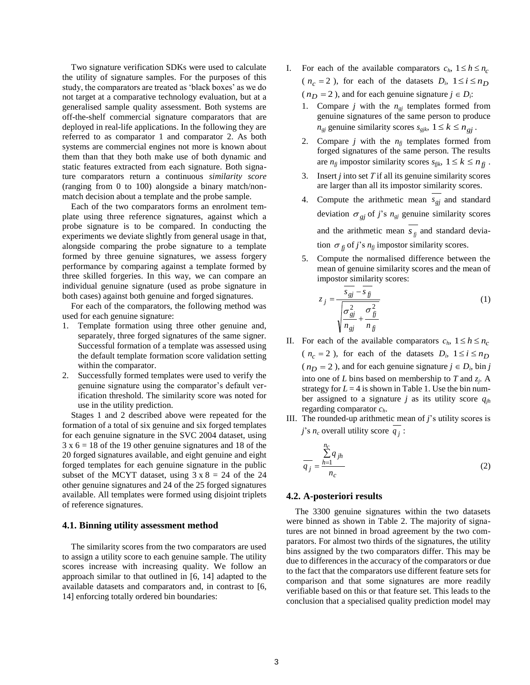Two signature verification SDKs were used to calculate the utility of signature samples. For the purposes of this study, the comparators are treated as 'black boxes' as we do not target at a comparative technology evaluation, but at a generalised sample quality assessment. Both systems are off-the-shelf commercial signature comparators that are deployed in real-life applications. In the following they are referred to as comparator 1 and comparator 2. As both systems are commercial engines not more is known about them than that they both make use of both dynamic and static features extracted from each signature. Both signature comparators return a continuous *similarity score* (ranging from 0 to 100) alongside a binary match/nonmatch decision about a template and the probe sample.

Each of the two comparators forms an enrolment template using three reference signatures, against which a probe signature is to be compared. In conducting the experiments we deviate slightly from general usage in that, alongside comparing the probe signature to a template formed by three genuine signatures, we assess forgery performance by comparing against a template formed by three skilled forgeries. In this way, we can compare an individual genuine signature (used as probe signature in both cases) against both genuine and forged signatures.

For each of the comparators, the following method was used for each genuine signature:

- 1. Template formation using three other genuine and, separately, three forged signatures of the same signer. Successful formation of a template was assessed using the default template formation score validation setting within the comparator.
- 2. Successfully formed templates were used to verify the genuine signature using the comparator's default verification threshold. The similarity score was noted for use in the utility prediction.

Stages 1 and 2 described above were repeated for the formation of a total of six genuine and six forged templates for each genuine signature in the SVC 2004 dataset, using  $3 \times 6 = 18$  of the 19 other genuine signatures and 18 of the 20 forged signatures available, and eight genuine and eight forged templates for each genuine signature in the public subset of the MCYT dataset, using  $3 \times 8 = 24$  of the 24 other genuine signatures and 24 of the 25 forged signatures available. All templates were formed using disjoint triplets of reference signatures.

#### <span id="page-2-0"></span>**4.1. Binning utility assessment method**

The similarity scores from the two comparators are used to assign a utility score to each genuine sample. The utility scores increase with increasing quality. We follow an approach similar to that outlined in [6, 14] adapted to the available datasets and comparators and, in contrast to [6, 14] enforcing totally ordered bin boundaries:

- I. For each of the available comparators  $c_h$ ,  $1 \leq h \leq n_c$ ( $n_c = 2$ ), for each of the datasets  $D_i$ ,  $1 \le i \le n_D$  $(n_D = 2)$ , and for each genuine signature  $j \in D_i$ :
	- 1. Compare *j* with the  $n_{gi}$  templates formed from genuine signatures of the same person to produce  $n_{gj}$  genuine similarity scores  $s_{gjk}$ ,  $1 \leq k \leq n_{gj}$ .
	- 2. Compare *j* with the  $n_f$  templates formed from forged signatures of the same person. The results are  $n_f$  impostor similarity scores  $s_{fjk}$ ,  $1 \leq k \leq n_f$ .
	- 3. Insert *j* into set *Τ* if all its genuine similarity scores are larger than all its impostor similarity scores.
	- 4. Compute the arithmetic mean  $s_{gi}$  and standard deviation  $\sigma_{gi}$  of *j*'s  $n_{gi}$  genuine similarity scores and the arithmetic mean  $s_{\hat{p}}$  and standard deviation  $\sigma_{f\bar{j}}$  of *j*'s  $n_f$  impostor similarity scores.
	- 5. Compute the normalised difference between the mean of genuine similarity scores and the mean of impostor similarity scores:

$$
z_j = \frac{s_{gj} - s_{fj}}{\sqrt{\frac{\sigma_{gj}^2}{n_{gj}} + \frac{\sigma_{fj}^2}{n_{fj}}}}
$$
(1)

- II. For each of the available comparators  $c_h$ ,  $1 \le h \le n_c$ ( $n_c = 2$ ), for each of the datasets  $D_i$ ,  $1 \le i \le n_D$  $(n_D = 2)$ , and for each genuine signature  $j \in D_i$ , bin *j* into one of *L* bins based on membership to *T* and *z<sup>j</sup>* . A strategy for  $L = 4$  is shown in Table 1. Use the bin number assigned to a signature *j* as its utility score *qjh* regarding comparator *ch*.
- III. The rounded-up arithmetic mean of *j*'s utility scores is *j*'s *n<sub>c</sub>* overall utility score  $q_j$ :

$$
\frac{\sum_{h=1}^{n_c} q_{jh}}{n_c} \tag{2}
$$

#### **4.2. A-posteriori results**

The 3300 genuine signatures within the two datasets were binned as shown in Table 2. The majority of signatures are not binned in broad agreement by the two comparators. For almost two thirds of the signatures, the utility bins assigned by the two comparators differ. This may be due to differences in the accuracy of the comparators or due to the fact that the comparators use different feature sets for comparison and that some signatures are more readily verifiable based on this or that feature set. This leads to the conclusion that a specialised quality prediction model may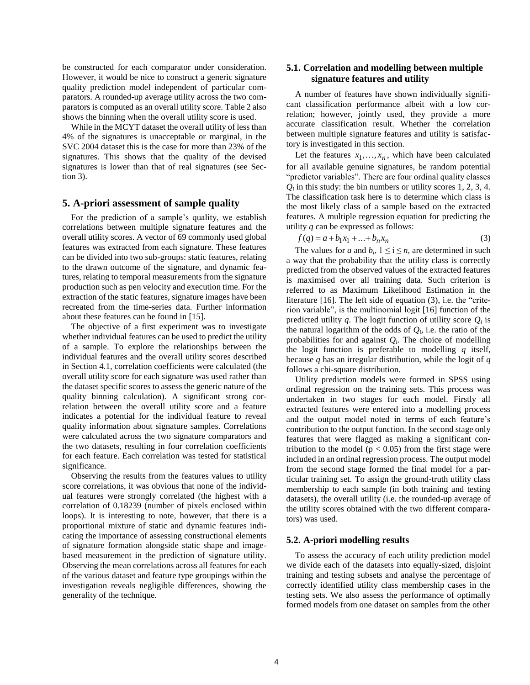be constructed for each comparator under consideration. However, it would be nice to construct a generic signature quality prediction model independent of particular comparators. A rounded-up average utility across the two comparators is computed as an overall utility score. Table 2 also shows the binning when the overall utility score is used.

While in the MCYT dataset the overall utility of less than 4% of the signatures is unacceptable or marginal, in the SVC 2004 dataset this is the case for more than 23% of the signatures. This shows that the quality of the devised signatures is lower than that of real signatures (see Section 3).

### **5. A-priori assessment of sample quality**

For the prediction of a sample's quality, we establish correlations between multiple signature features and the overall utility scores. A vector of 69 commonly used global features was extracted from each signature. These features can be divided into two sub-groups: static features, relating to the drawn outcome of the signature, and dynamic features, relating to temporal measurements from the signature production such as pen velocity and execution time. For the extraction of the static features, signature images have been recreated from the time-series data. Further information about these features can be found in [\[15\].](#page-5-0)

The objective of a first experiment was to investigate whether individual features can be used to predict the utility of a sample. To explore the relationships between the individual features and the overall utility scores described in Section [4.1,](#page-2-0) correlation coefficients were calculated (the overall utility score for each signature was used rather than the dataset specific scores to assess the generic nature of the quality binning calculation). A significant strong correlation between the overall utility score and a feature indicates a potential for the individual feature to reveal quality information about signature samples. Correlations were calculated across the two signature comparators and the two datasets, resulting in four correlation coefficients for each feature. Each correlation was tested for statistical significance.

Observing the results from the features values to utility score correlations, it was obvious that none of the individual features were strongly correlated (the highest with a correlation of 0.18239 (number of pixels enclosed within loops). It is interesting to note, however, that there is a proportional mixture of static and dynamic features indicating the importance of assessing constructional elements of signature formation alongside static shape and imagebased measurement in the prediction of signature utility. Observing the mean correlations across all features for each of the various dataset and feature type groupings within the investigation reveals negligible differences, showing the generality of the technique.

# **5.1. Correlation and modelling between multiple signature features and utility**

A number of features have shown individually significant classification performance albeit with a low correlation; however, jointly used, they provide a more accurate classification result. Whether the correlation between multiple signature features and utility is satisfactory is investigated in this section.

Let the features  $x_1, \ldots, x_n$ , which have been calculated for all available genuine signatures, be random potential "predictor variables". There are four ordinal quality classes  $Q_i$  in this study: the bin numbers or utility scores 1, 2, 3, 4. The classification task here is to determine which class is the most likely class of a sample based on the extracted features. A multiple regression equation for predicting the utility *q* can be expressed as follows:

$$
f(q) = a + b_1 x_1 + \dots + b_n x_n \tag{3}
$$

The values for *a* and  $b_i$ ,  $1 \le i \le n$ , are determined in such a way that the probability that the utility class is correctly predicted from the observed values of the extracted features is maximised over all training data. Such criterion is referred to as Maximum Likelihood Estimation in the literature [\[16\].](#page-5-1) The left side of equation (3), i.e. the "criterion variable", is the multinomial logit [\[16\]](#page-5-1) function of the predicted utility  $q$ . The logit function of utility score  $Q_i$  is the natural logarithm of the odds of  $Q_i$ , i.e. the ratio of the probabilities for and against  $Q_i$ . The choice of modelling the logit function is preferable to modelling *q* itself, because *q* has an irregular distribution, while the logit of *q* follows a chi-square distribution.

Utility prediction models were formed in SPSS using ordinal regression on the training sets. This process was undertaken in two stages for each model. Firstly all extracted features were entered into a modelling process and the output model noted in terms of each feature's contribution to the output function. In the second stage only features that were flagged as making a significant contribution to the model ( $p < 0.05$ ) from the first stage were included in an ordinal regression process. The output model from the second stage formed the final model for a particular training set. To assign the ground-truth utility class membership to each sample (in both training and testing datasets), the overall utility (i.e. the rounded-up average of the utility scores obtained with the two different comparators) was used.

#### **5.2. A-priori modelling results**

To assess the accuracy of each utility prediction model we divide each of the datasets into equally-sized, disjoint training and testing subsets and analyse the percentage of correctly identified utility class membership cases in the testing sets. We also assess the performance of optimally formed models from one dataset on samples from the other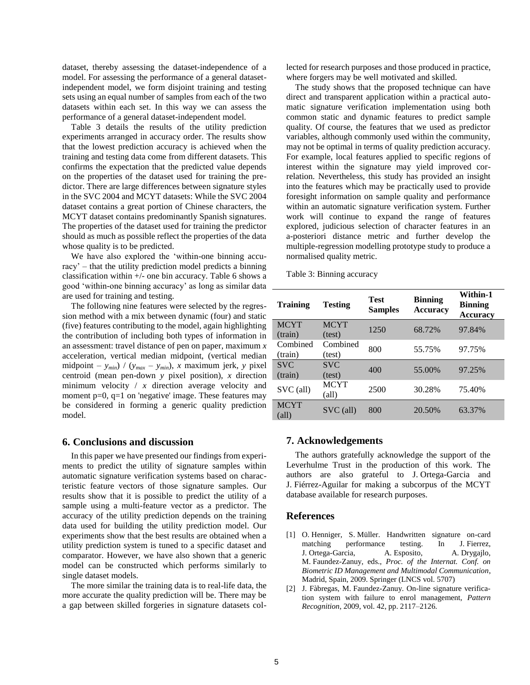dataset, thereby assessing the dataset-independence of a model. For assessing the performance of a general datasetindependent model, we form disjoint training and testing sets using an equal number of samples from each of the two datasets within each set. In this way we can assess the performance of a general dataset-independent model.

Table 3 details the results of the utility prediction experiments arranged in accuracy order. The results show that the lowest prediction accuracy is achieved when the training and testing data come from different datasets. This confirms the expectation that the predicted value depends on the properties of the dataset used for training the predictor. There are large differences between signature styles in the SVC 2004 and MCYT datasets: While the SVC 2004 dataset contains a great portion of Chinese characters, the MCYT dataset contains predominantly Spanish signatures. The properties of the dataset used for training the predictor should as much as possible reflect the properties of the data whose quality is to be predicted.

We have also explored the 'within-one binning accuracy' – that the utility prediction model predicts a binning classification within +/- one bin accuracy. Table 6 shows a good 'within-one binning accuracy' as long as similar data are used for training and testing.

The following nine features were selected by the regression method with a mix between dynamic (four) and static (five) features contributing to the model, again highlighting the contribution of including both types of information in an assessment: travel distance of pen on paper, maximum *x* acceleration, vertical median midpoint, (vertical median midpoint – *ymin*) / (*ymax – ymin*), *x* maximum jerk, *y* pixel centroid (mean pen-down *y* pixel position), *x* direction minimum velocity / *x* direction average velocity and moment p=0, q=1 on 'negative' image. These features may be considered in forming a generic quality prediction model.

# **6. Conclusions and discussion**

In this paper we have presented our findings from experiments to predict the utility of signature samples within automatic signature verification systems based on characteristic feature vectors of those signature samples. Our results show that it is possible to predict the utility of a sample using a multi-feature vector as a predictor. The accuracy of the utility prediction depends on the training data used for building the utility prediction model. Our experiments show that the best results are obtained when a utility prediction system is tuned to a specific dataset and comparator. However, we have also shown that a generic model can be constructed which performs similarly to single dataset models.

The more similar the training data is to real-life data, the more accurate the quality prediction will be. There may be a gap between skilled forgeries in signature datasets collected for research purposes and those produced in practice, where forgers may be well motivated and skilled.

The study shows that the proposed technique can have direct and transparent application within a practical automatic signature verification implementation using both common static and dynamic features to predict sample quality. Of course, the features that we used as predictor variables, although commonly used within the community, may not be optimal in terms of quality prediction accuracy. For example, local features applied to specific regions of interest within the signature may yield improved correlation. Nevertheless, this study has provided an insight into the features which may be practically used to provide foresight information on sample quality and performance within an automatic signature verification system. Further work will continue to expand the range of features explored, judicious selection of character features in an a-posteriori distance metric and further develop the multiple-regression modelling prototype study to produce a normalised quality metric.

Table 3: Binning accuracy

| <b>Training</b> | <b>Testing</b> | <b>Test</b><br><b>Samples</b> | <b>Binning</b><br><b>Accuracy</b> | Within-1<br><b>Binning</b><br><b>Accuracy</b> |  |
|-----------------|----------------|-------------------------------|-----------------------------------|-----------------------------------------------|--|
| <b>MCYT</b>     | <b>MCYT</b>    | 1250                          | 68.72%                            | 97.84%                                        |  |
| (train)         | (test)         |                               |                                   |                                               |  |
| Combined        | Combined       | 800                           | 55.75%                            | 97.75%                                        |  |
| (train)         | (test)         |                               |                                   |                                               |  |
| <b>SVC</b>      | <b>SVC</b>     | 400                           | 55.00%                            | 97.25%                                        |  |
| (train)         | (test)         |                               |                                   |                                               |  |
| SVC (all)       | <b>MCYT</b>    | 2500                          | 30.28%                            | 75.40%                                        |  |
|                 | $\text{(all)}$ |                               |                                   |                                               |  |
| <b>MCYT</b>     | SVC (all)      | 800                           | 20.50%                            | 63.37%                                        |  |
| $\text{(all)}$  |                |                               |                                   |                                               |  |

# **7. Acknowledgements**

The authors gratefully acknowledge the support of the Leverhulme Trust in the production of this work. The authors are also grateful to J. Ortega-Garcia and J. Fiérrez-Aguilar for making a subcorpus of the MCYT database available for research purposes.

# **References**

- [1] O. Henniger, S. Müller. Handwritten signature on-card matching performance testing. In J. Fierrez, J. Ortega-Garcia, A. Esposito, A. Drygajlo, M. Faundez-Zanuy, eds., *Proc. of the Internat. Conf. on Biometric ID Management and Multimodal Communication*, Madrid, Spain, 2009. Springer (LNCS vol. 5707)
- [2] J. Fàbregas, M. Faundez-Zanuy. On-line signature verification system with failure to enrol management, *Pattern Recognition*, 2009, vol. 42, pp. 2117–2126.